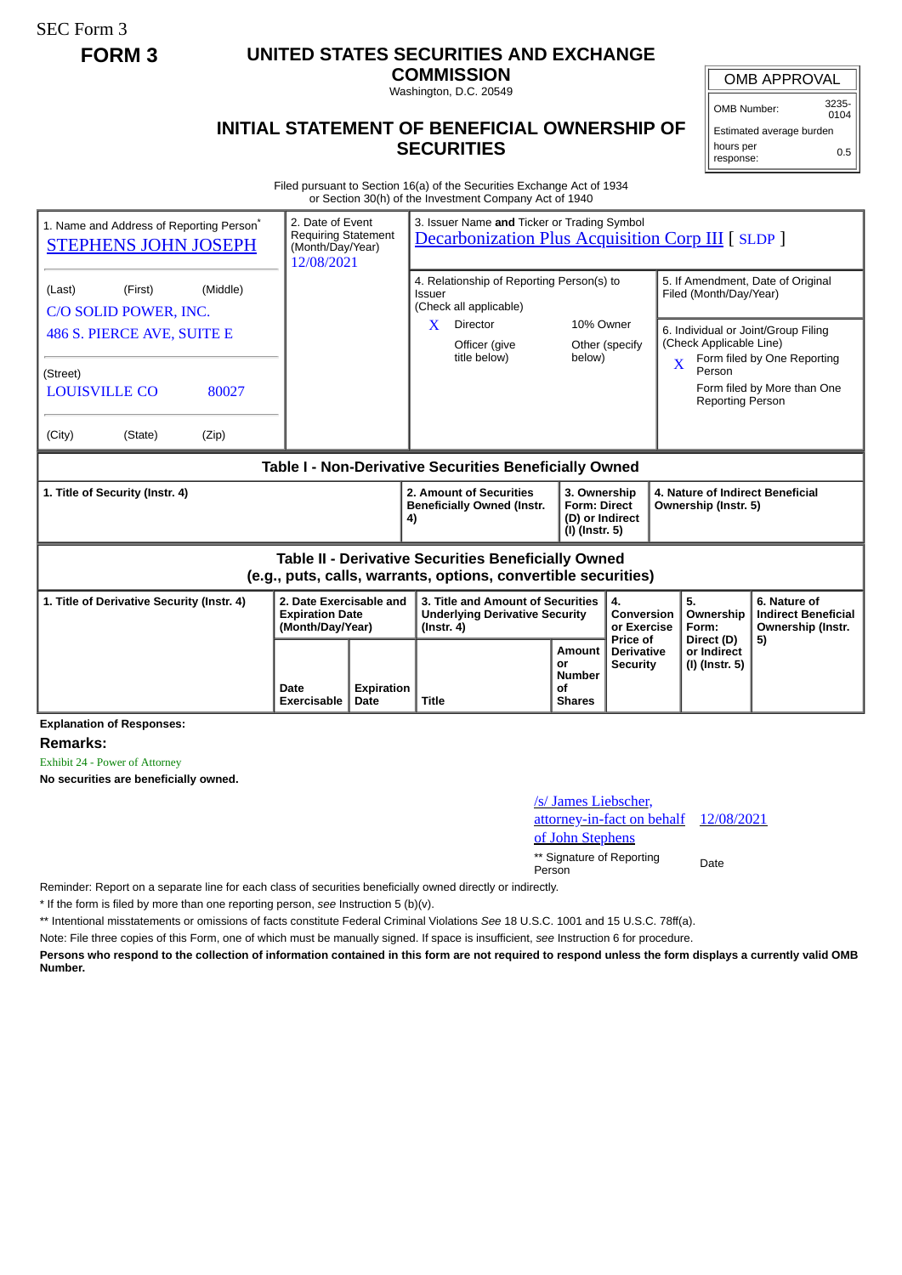SEC Form 3

## **FORM 3 UNITED STATES SECURITIES AND EXCHANGE**

**COMMISSION**

Washington, D.C. 20549

## **INITIAL STATEMENT OF BENEFICIAL OWNERSHIP OF SECURITIES**

OMB APPROVAL OMB Number: 3235-

 $0104$ Estimated average burden hours per response: 0.5

Filed pursuant to Section 16(a) of the Securities Exchange Act of 1934 or Section 30(h) of the Investment Company Act of 1940

| 1. Name and Address of Reporting Person <sup>®</sup><br><b>STEPHENS JOHN JOSEPH</b>                                                                             | 2. Date of Event<br><b>Requiring Statement</b><br>(Month/Day/Year)<br>12/08/2021 | 3. Issuer Name and Ticker or Trading Symbol<br><b>Decarbonization Plus Acquisition Corp III [ SLDP ]</b> |                                                                                                |                                                                                                                         |                                                                          |                                                  |                                                                                                                   |                                                                                                                                        |
|-----------------------------------------------------------------------------------------------------------------------------------------------------------------|----------------------------------------------------------------------------------|----------------------------------------------------------------------------------------------------------|------------------------------------------------------------------------------------------------|-------------------------------------------------------------------------------------------------------------------------|--------------------------------------------------------------------------|--------------------------------------------------|-------------------------------------------------------------------------------------------------------------------|----------------------------------------------------------------------------------------------------------------------------------------|
| (Middle)<br>(Last)<br>(First)<br>C/O SOLID POWER, INC.<br>486 S. PIERCE AVE, SUITE E<br>(Street)<br><b>LOUISVILLE CO</b><br>80027<br>(City)<br>(State)<br>(Zip) |                                                                                  |                                                                                                          | <b>Issuer</b><br>$\mathbf{X}$                                                                  | 4. Relationship of Reporting Person(s) to<br>(Check all applicable)<br><b>Director</b><br>Officer (give<br>title below) | 10% Owner<br>below)                                                      | Other (specify                                   | Filed (Month/Day/Year)<br>(Check Applicable Line)<br>$\overline{\mathbf{X}}$<br>Person<br><b>Reporting Person</b> | 5. If Amendment, Date of Original<br>6. Individual or Joint/Group Filing<br>Form filed by One Reporting<br>Form filed by More than One |
| Table I - Non-Derivative Securities Beneficially Owned                                                                                                          |                                                                                  |                                                                                                          |                                                                                                |                                                                                                                         |                                                                          |                                                  |                                                                                                                   |                                                                                                                                        |
| 1. Title of Security (Instr. 4)                                                                                                                                 |                                                                                  |                                                                                                          | 4)                                                                                             | 2. Amount of Securities<br><b>Beneficially Owned (Instr.</b>                                                            | 3. Ownership<br><b>Form: Direct</b><br>(D) or Indirect<br>(I) (Instr. 5) |                                                  | 4. Nature of Indirect Beneficial<br>Ownership (Instr. 5)                                                          |                                                                                                                                        |
| Table II - Derivative Securities Beneficially Owned<br>(e.g., puts, calls, warrants, options, convertible securities)                                           |                                                                                  |                                                                                                          |                                                                                                |                                                                                                                         |                                                                          |                                                  |                                                                                                                   |                                                                                                                                        |
| 2. Date Exercisable and<br>1. Title of Derivative Security (Instr. 4)<br><b>Expiration Date</b><br>(Month/Day/Year)                                             |                                                                                  |                                                                                                          | 3. Title and Amount of Securities<br><b>Underlying Derivative Security</b><br>$($ lnstr. 4 $)$ |                                                                                                                         |                                                                          | 4.<br>Conversion<br>or Exercise                  | 5.<br>Ownership<br>Form:                                                                                          | 6. Nature of<br><b>Indirect Beneficial</b><br>Ownership (Instr.                                                                        |
|                                                                                                                                                                 | Date<br>Exercisable                                                              | Expiration<br>Date                                                                                       | <b>Title</b>                                                                                   |                                                                                                                         | Amount<br>or<br><b>Number</b><br>Ωf<br><b>Shares</b>                     | Price of<br><b>Derivative</b><br><b>Security</b> | Direct (D)<br>or Indirect<br>(I) (Instr. 5)                                                                       | 5)                                                                                                                                     |

**Explanation of Responses:**

**Remarks:**

Exhibit 24 - Power of Attorney

**No securities are beneficially owned.**

## /s/ James Liebscher, attorney-in-fact on behalf of John Stephens 12/08/2021 \*\* Signature of Reporting Person Date

Reminder: Report on a separate line for each class of securities beneficially owned directly or indirectly.

\* If the form is filed by more than one reporting person, *see* Instruction 5 (b)(v).

\*\* Intentional misstatements or omissions of facts constitute Federal Criminal Violations *See* 18 U.S.C. 1001 and 15 U.S.C. 78ff(a).

Note: File three copies of this Form, one of which must be manually signed. If space is insufficient, *see* Instruction 6 for procedure.

**Persons who respond to the collection of information contained in this form are not required to respond unless the form displays a currently valid OMB Number.**